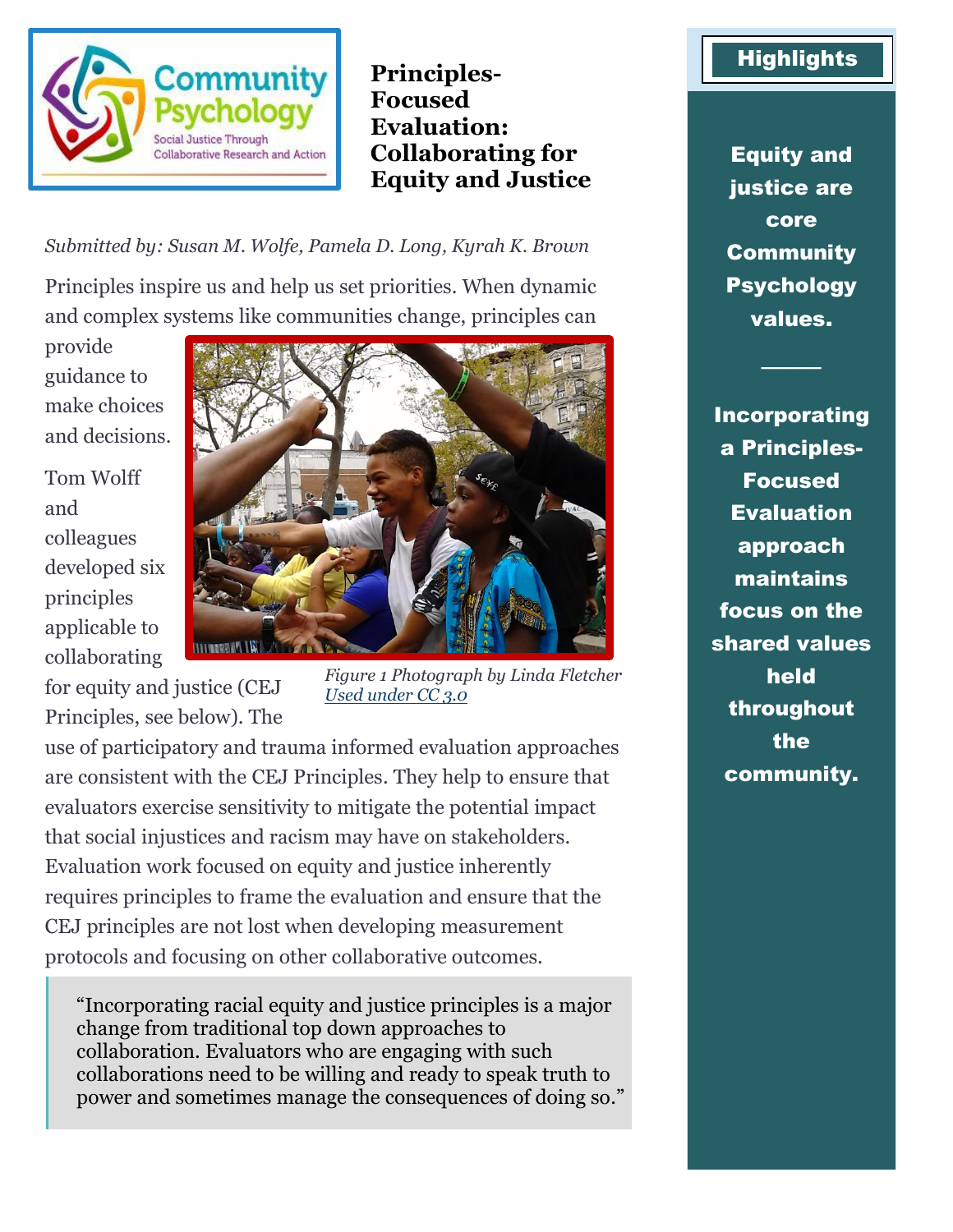

**Principles-Focused Evaluation: Collaborating for Equity and Justice**

*Submitted by: Susan M. Wolfe, Pamela D. Long, Kyrah K. Brown*

Principles inspire us and help us set priorities. When dynamic and complex systems like communities change, principles can

provide guidance to make choices and decisions.

Tom Wolff and colleagues developed six principles applicable to collaborating

for equity and justice (CEJ



*Figure 1 Photograph by Linda Fletcher [Used under CC 3.0](https://creativecommons.org/licenses/by-sa/3.0/deed.en)*

Principles, see below). The use of participatory and trauma informed evaluation approaches are consistent with the CEJ Principles. They help to ensure that evaluators exercise sensitivity to mitigate the potential impact that social injustices and racism may have on stakeholders. Evaluation work focused on equity and justice inherently requires principles to frame the evaluation and ensure that the CEJ principles are not lost when developing measurement protocols and focusing on other collaborative outcomes.

"Incorporating racial equity and justice principles is a major change from traditional top down approaches to collaboration. Evaluators who are engaging with such collaborations need to be willing and ready to speak truth to power and sometimes manage the consequences of doing so."

## **Highlights**

Equity and justice are core **Community** Psychology values.

────

Incorporating a Principles-Focused **Evaluation** approach maintains focus on the shared values held throughout the community.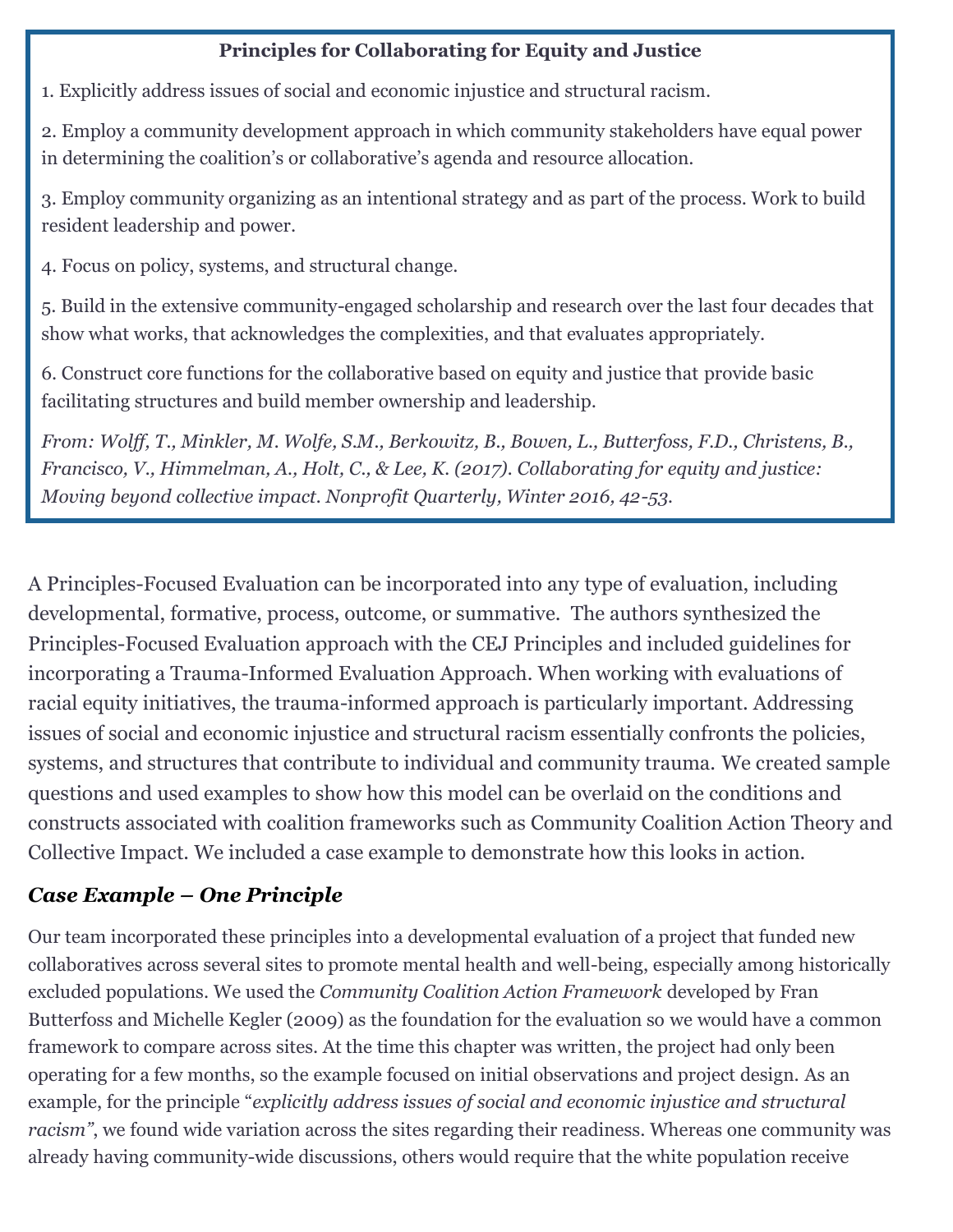## **Principles for Collaborating for Equity and Justice**

1. Explicitly address issues of social and economic injustice and structural racism.

2. Employ a community development approach in which community stakeholders have equal power in determining the coalition's or collaborative's agenda and resource allocation.

3. Employ community organizing as an intentional strategy and as part of the process. Work to build resident leadership and power.

4. Focus on policy, systems, and structural change.

5. Build in the extensive community-engaged scholarship and research over the last four decades that show what works, that acknowledges the complexities, and that evaluates appropriately.

6. Construct core functions for the collaborative based on equity and justice that provide basic facilitating structures and build member ownership and leadership.

*From: Wolff, T., Minkler, M. Wolfe, S.M., Berkowitz, B., Bowen, L., Butterfoss, F.D., Christens, B., Francisco, V., Himmelman, A., Holt, C., & Lee, K. (2017). Collaborating for equity and justice: Moving beyond collective impact. Nonprofit Quarterly, Winter 2016, 42-53.*

A Principles-Focused Evaluation can be incorporated into any type of evaluation, including developmental, formative, process, outcome, or summative. The authors synthesized the Principles-Focused Evaluation approach with the CEJ Principles and included guidelines for incorporating a Trauma-Informed Evaluation Approach. When working with evaluations of racial equity initiatives, the trauma-informed approach is particularly important. Addressing issues of social and economic injustice and structural racism essentially confronts the policies, systems, and structures that contribute to individual and community trauma. We created sample questions and used examples to show how this model can be overlaid on the conditions and constructs associated with coalition frameworks such as Community Coalition Action Theory and Collective Impact. We included a case example to demonstrate how this looks in action.

## *Case Example – One Principle*

Our team incorporated these principles into a developmental evaluation of a project that funded new collaboratives across several sites to promote mental health and well-being, especially among historically excluded populations. We used the *Community Coalition Action Framework* developed by Fran Butterfoss and Michelle Kegler (2009) as the foundation for the evaluation so we would have a common framework to compare across sites. At the time this chapter was written, the project had only been operating for a few months, so the example focused on initial observations and project design. As an example, for the principle "*explicitly address issues of social and economic injustice and structural racism"*, we found wide variation across the sites regarding their readiness. Whereas one community was already having community-wide discussions, others would require that the white population receive